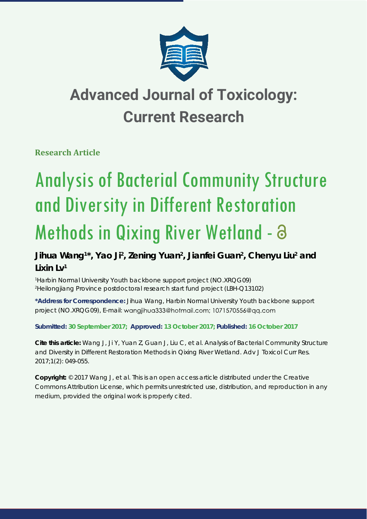

## **Advanced Journal of Toxicology: Current Research**

**Research Article** 

# Analysis of Bacterial Community Structure and Diversity in Different Restoration Methods in Qixing River Wetland - a

### Jihua Wang<sup>1\*</sup>, Yao Ji<sup>2</sup>, Zening Yuan<sup>2</sup>, Jianfei Guan<sup>2</sup>, Chenyu Liu<sup>2</sup> and **Lixin Lv1**

*1 Harbin Normal University Youth backbone support project (NO.XRQG09) 2 Heilongjiang Province postdoctoral research start fund project (LBH-Q13102)*

**\*Address for Correspondence:** Jihua Wang, Harbin Normal University Youth backbone support project (NO.XRQG09), E-mail: wangjihua333@hotmail.com; 1071570556@qq.com

**Submitted: 30 September 2017; Approved: 13 October 2017; Published: 16 October 2017**

**Cite this article:** Wang J, Ji Y, Yuan Z, Guan J, Liu C, et al. Analysis of Bacterial Community Structure and Diversity in Different Restoration Methods in Qixing River Wetland. Adv J Toxicol Curr Res. 2017;1(2): 049-055.

**Copyright:** © 2017 Wang J, et al. This is an open access article distributed under the Creative Commons Attribution License, which permits unrestricted use, distribution, and reproduction in any medium, provided the original work is properly cited.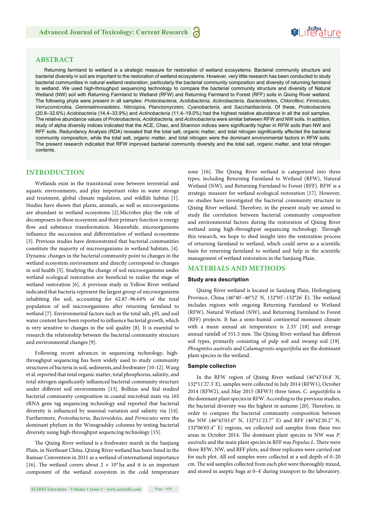## **SeiRes** ture

#### **ABSTRACT**

Returning farmland to wetland is a strategic measure for restoration of wetland ecosystems. Bacterial community structure and bacterial diversity in soil are important to the restoration of wetland ecosystems. However, very little research has been conducted to study bacterial communities in natural wetland restoration, particularly the bacterial community composition and diversity of returning farmland to wetland. We used high-throughput sequencing technology to compare the bacterial community structure and diversity of Natural Wetland (NW) soil with Returning Farmland to Wetland (RFW) and Returning Farmland to Forest (RFF) soils in Qixing River wetland. The following phyla were present in all samples: *Proteobacteria, Acidobacteria, Actinobacteria, Bacteroidetes, Chlorofl exi, Firmicutes, Verrucomicrobia, Gemmatimonadetes, Nitrospira, Planctomycetes, Cyanobacteria,* and *Saccharibacteria*. Of these, *Proteobacteria*  (20.8–32.6%) *Acidobacteria* (14.4–33.9%) and *Actinobacteria* (11.4–19.0%) had the highest relative abundance in all the soil samples. The relative abundance values of *Proteobacteria, Acidobacteria,* and *Actinobacteria* were similar between RFW and NW soils. In addition, study of alpha diversity indices indicated that the ACE, Chao, and Shannon indices were significantly higher in RFW soils than NW and RFF soils. Redundancy Analysis (RDA) revealed that the total salt, organic matter, and total nitrogen significantly affected the bacterial community composition, while the total salt, organic matter, and total nitrogen were the dominant environmental factors in RFW soils. The present research indicated that RFW improved bacterial community diversity and the total salt, organic matter, and total nitrogen contents.

#### **INTRODUCTION**

Wetlands exist in the transitional zone between terrestrial and aquatic environments, and play important roles in water storage and treatment, global climate regulation, and wildlife habitat [1]. Studies have shown that plants, animals, as well as microorganisms are abundant in wetland ecosystems [2].Microbes play the role of decomposers in these ecosystem and their primary function is energy flow and substance transformation. Meanwhile, microorganisms influence the succession and differentiation of wetland ecosystems [3]. Previous studies have demonstrated that bacterial communities constitute the majority of microorganisms in wetland habitats, [4]. Dynamic changes in the bacterial community point to changes in the wetland ecosystem environment and directly correspond to changes in soil health [5]. Studying the change of soil microorganisms under wetland ecological restoration are beneficial to realize the stage of wetland restoration [6]. A previous study in Yellow River wetland indicated that bacteria represent the largest group of microorganisms inhabiting the soil, accounting for 62.87–96.64% of the total population of soil microorganisms after returning farmland to wetland [7]. Environmental factors such as the total salt, pH, and soil water content have been reported to influence bacterial growth, which is very sensitive to changes in the soil quality [8]. It is essential to research the relationship between the bacterial community structure and environmental changes [9].

Following recent advances in sequencing technology, highthroughput sequencing has been widely used to study community structures of bacteria in soil, sediments,and freshwater [10-12]. Wang et al. reported that total organic matter, total phosphorus, salinity, and total nitrogen significantly influenced bacterial community structure under different soil environments [13]. Bolhius and Stal studied bacterial community composition in coastal microbial mats via *16S* rRNA gene tag sequencing technology and reported that bacterial diversity is influenced by seasonal variation and salinity via [14]. Furthermore, *Proteobacteria, Bacteroidetes,* and *Firmicutes* were the dominant phylum in the Winogradsky columns by testing bacterial diversity using high-throughput sequencing technology [15].

The Qixing River wetland is a freshwater marsh in the Sanjiang Plain, in Northeast China. Qixing River wetland has been listed in the Ramsar Convention in 2011 as a wetland of international importance [16]. The wetland covers about  $2 \times 10^4$  ha and it is an important component of the wetland ecosystem in the cold temperature zone [16]. The Qixing River wetland is categorized into three types, including Returning Farmland to Wetland (RFW), Natural Wetland (NW), and Returning Farmland to Forest (RFF). RFW is a strategic measure for wetland ecological restoration [17]. However, no studies have investigated the bacterial community structure in Qixing River wetland. Therefore, in the present study we aimed to study the correlation between bacterial community composition and environmental factors during the restoration of Qixing River wetland using high-throughput sequencing technology. Through this research, we hope to shed insight into the restoration process of returning farmland to wetland, which could serve as a scientific basis for returning farmland to wetland and help in the scientific management of wetland restoration in the Sanjiang Plain.

#### **MATERIALS AND METHODS**

#### **Study area description**

Qixing River wetland is located in Sanjiang Plain, Heilongjiang Province, China (46°40'-46°52' N, 132°05'-132°26' E). The wetland includes regions with ongoing Returning Farmland to Wetland (RFW), Natural Wetland (NW), and Returning Farmland to Forest (RFF) projects. It has a semi-humid continental monsoon climate with a mean annual air temperature is 2.35' [18] and average annual rainfall of 551.5 mm. The Qixing River wetland has different soil types, primarily consisting of pulp soil and swamp soil [19]. *Phragmites australis* and *Calamagrostis angustifolia* are the dominant plant species in the wetland.

#### **Sample collection**

In the RFW region of Qixing River wetland (46°43'10.8' N, 132°11'27.3' E), samples were collected in July 2014 (RFW1), October 2014 (RFW2), and May 2015 (RFW3) three times. *C. angustifolia* is the dominant plant species in RFW. According to the previous studies, the bacterial diversity was the highest in autumn [20]. Therefore, in order to compare the bacterial community composition between the NW (46°43'03.0" N, 132°11'23.7" E) and RFF (46°42'20.2" N, 132°06'03.4" E) regions, we collected soil samples from these two areas in October 2014. The dominant plant species in NW was P. *australis* and the main plant species in RFF was *Populus L*. There were three RFW, NW, and RFF plots, and three replicates were carried out for each plot. All soil samples were collected at a soil depth of 0–20 cm. The soil samples collected from each plot were thoroughly mixed, and stored in aseptic bags at 0–4' during transport to the laboratory.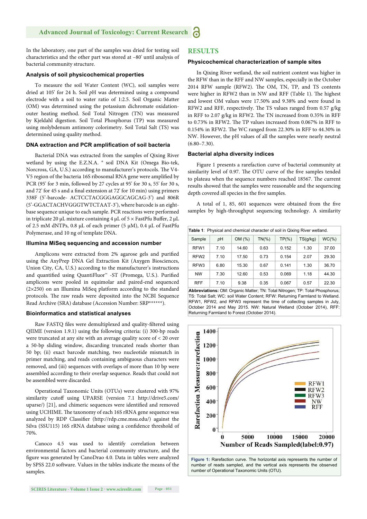In the laboratory, one part of the samples was dried for testing soil characteristics and the other part was stored at –80' until analysis of bacterial community structure.

#### **Analysis of soil physicochemical properties**

To measure the soil Water Content (WC), soil samples were dried at 105' for 24 h. Soil *p*H was determined using a compound electrode with a soil to water ratio of 1:2.5. Soil Organic Matter (OM) was determined using the potassium dichromate oxidationouter heating method. Soil Total Nitrogen (TN) was measured by Kjeldahl digestion. Soil Total Phosphorus (TP) was measured using molybdenum antimony colorimetry. Soil Total Salt (TS) was determined using quality method.

#### **DNA extraction and PCR amplification of soil bacteria**

Bacterial DNA was extracted from the samples of Qixing River wetland by using the E.Z.N.A. ® soil DNA Kit (Omega Bio-tek, Norcross, GA, U.S.) according to manufacturer's protocols. The V4-V5 region of the bacteria 16S ribosomal RNA gene were amplified by PCR (95' for 3 min, followed by 27 cycles at 95' for 30 s, 55' for 30 s, and 72' for 45 s and a final extension at 72' for 10 min) using primers 338F (5'-barcode- ACTCCTACGGGAGGCAGCAG-3') and 806R (5'-GGACTACHVGGGTWTCTAAT-3'), where barcode is an eightbase sequence unique to each sample. PCR reactions were performed in triplicate 20 μL mixture containing 4 μL of  $5 \times$  FastPfu Buffer, 2 μL of 2.5 mM dNTPs, 0.8 μL of each primer (5 μM), 0.4 μL of FastPfu Polymerase, and 10 ng of template DNA.

#### **Illumina MiSeq sequencing and accession number**

Amplicons were extracted from 2% agarose gels and purified using the AxyPrep DNA Gel Extraction Kit (Axygen Biosciences, Union City, CA, U.S.) according to the manufacturer's instructions and quantified using QuantiFluor<sup>™</sup> -ST (Promega, U.S.). Purified amplicons were pooled in equimolar and paired-end sequenced (2×250) on an Illumina MiSeq platform according to the standard protocols. The raw reads were deposited into the NCBI Sequence Read Archive (SRA) database (Accession Number: SRP\*\*\*\*\*\*).

#### **Bioinformatics and statistical analyses**

Raw FASTQ files were demultiplexed and quality-filtered using QIIME (version 1.9.1) using the following criteria: (i) 300-bp reads were truncated at any site with an average quality score of < 20 over a 50-bp sliding window, discarding truncated reads shorter than 50 bp; (ii) exact barcode matching, two nucleotide mismatch in primer matching, and reads containing ambiguous characters were removed, and (iii) sequences with overlaps of more than 10 bp were assembled according to their overlap sequence. Reads that could not be assembled were discarded.

Operational Taxonomic Units (OTUs) were clustered with 97% similarity cutoff using UPARSE (version 7.1 http://drive5.com/ uparse/) [21], and chimeric sequences were identified and removed using UCHIME. The taxonomy of each 16S rRNA gene sequence was analyzed by RDP Classifier (http://rdp.cme.msu.edu/) against the Silva (SSU115) 16S rRNA database using a confidence threshold of 70%.

Canoco 4.5 was used to identify correlation between environmental factors and bacterial community structure, and the figure was generated by CanoDrao 4.0. Data in tables were analyzed by SPSS 22.0 software. Values in the tables indicate the means of the samples.

#### **RESULTS**

#### **Physicochemical characterization of sample sites**

In Qixing River wetland, the soil nutrient content was higher in the RFW than in the RFF and NW samples, especially in the October 2014 RFW sample (RFW2). The OM, TN, TP, and TS contents were higher in RFW2 than in NW and RFF (Table 1). The highest and lowest OM values were 17.50% and 9.38% and were found in RFW2 and RFF, respectively. The TS values ranged from 0.57 g/kg in RFF to 2.07 g/kg in RFW2. The TN increased from  $0.35\%$  in RFF to 0.73% in RFW2. The TP values increased from 0.067% in RFF to 0.154% in RFW2. The WC ranged from 22.30% in RFF to 44.30% in NW. However, the pH values of all the samples were nearly neutral  $(6.80 - 7.30)$ .

#### **Bacterial alpha diversity indices**

Figure 1 presents a rarefaction curve of bacterial community at similarity level of 0.97. The OTU curve of the five samples tended to plateau when the sequence numbers reached 18567. The current results showed that the samples were reasonable and the sequencing depth covered all species in the five samples.

A total of 1, 85, 601 sequences were obtained from the five samples by high-throughput sequencing technology. A similarity

| <b>Table 1:</b> Physical and chemical character of soil in Qixing River wetland. |      |        |           |           |          |          |  |
|----------------------------------------------------------------------------------|------|--------|-----------|-----------|----------|----------|--|
| Sample                                                                           | pH   | OM (%) | $TN(\% )$ | $TP(\% )$ | TS(g/kg) | $WC(\%)$ |  |
| RFW <sub>1</sub>                                                                 | 7.10 | 14.60  | 0.63      | 0.152     | 1.30     | 37.00    |  |
| RFW <sub>2</sub>                                                                 | 7.10 | 17.50  | 0.73      | 0.154     | 2.07     | 29.30    |  |
| RFW <sub>3</sub>                                                                 | 6.80 | 15.30  | 0.67      | 0.141     | 1.30     | 36.70    |  |
| <b>NW</b>                                                                        | 7.30 | 12.60  | 0.53      | 0.069     | 1.18     | 44.30    |  |
| <b>RFF</b>                                                                       | 7.10 | 9.38   | 0.35      | 0.067     | 0.57     | 22.30    |  |

**Abbreviations:** OM: Organic Matter; TN: Total Nitrogen; TP: Total Phosphorus; TS: Total Salt; WC: soil Water Content; RFW: Returning Farmland to Wetland. RFW1, RFW2, and RFW3 represent the time of collecting samples in July, October 2014 and May 2015. NW: Natural Wetland (October 2014), RFF: Returning Farmland to Forest (October 2014).



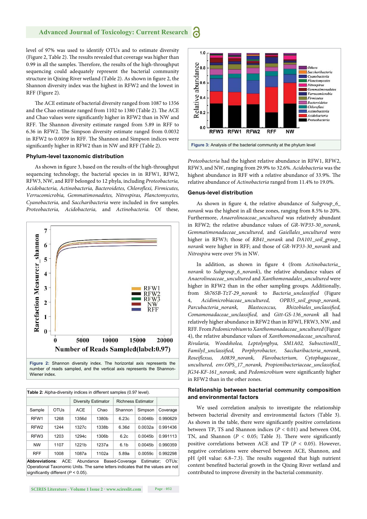#### **Advanced Journal of Toxicology: Current Research** 6

level of 97% was used to identify OTUs and to estimate diversity (Figure 2, Table 2). The results revealed that coverage was higher than 0.99 in all the samples. Therefore, the results of the high-throughput sequencing could adequately represent the bacterial community structure in Qixing River wetland (Table 2). As shown in figure 2, the Shannon diversity index was the highest in RFW2 and the lowest in RFF (Figure 2).

The ACE estimate of bacterial diversity ranged from 1087 to 1356 and the Chao estimate ranged from 1102 to 1380 (Table 2). The ACE and Chao values were significantly higher in RFW2 than in NW and RFF. The Shannon diversity estimate ranged from 5.89 in RFF to 6.36 in RFW2. The Simpson diversity estimate ranged from 0.0032 in RFW2 to 0.0059 in RFF. The Shannon and Simpson indices were significantly higher in RFW2 than in NW and RFF (Table 2).

#### **Phylum-level taxonomic distribution**

As shown in figure 3, based on the results of the high-throughput sequencing technology, the bacterial species in in RFW1, RFW2, RFW3, NW, and RFF belonged to 12 phyla, including *Proteobacteria, Acidobacteria, Actinobacteria, Bacteroidetes, Chlorofl exi, Firmicutes, Verrucomicrobia, Gemmatimonadetes, Nitrospiras, Planctomycetes, Cyanobacteria, and Saccharibacteria were included in five samples. Proteobacteria, Acidobacteria,* and *Actinobacteria*. Of these,



**Figure 2:** Shannon diversity index. The horizontal axis represents the number of reads sampled, and the vertical axis represents the Shannon-Wiener index.

| <b>Diversity Estimator</b> |            | <b>Table 2:</b> Alpha-diversity indices in different samples (0.97 level).<br><b>Richness Estimator</b> |                     |          |
|----------------------------|------------|---------------------------------------------------------------------------------------------------------|---------------------|----------|
|                            |            |                                                                                                         |                     |          |
|                            |            |                                                                                                         |                     |          |
|                            | Chao       | Shannon                                                                                                 | Simpson             | Coverage |
| 1356d                      | 1380b      | 6.23c                                                                                                   | 0.0046 <sub>b</sub> | 0.990629 |
| 1327c                      | 1338b      | 6.36d                                                                                                   | 0.0032a             | 0.991436 |
| 1294c                      | 1306b      | 6.2c                                                                                                    | 0.0045 <sub>b</sub> | 0.991113 |
| 1221b                      | 1237a      | 6.1 <sub>b</sub>                                                                                        | 0.0045 <sub>b</sub> | 0.990359 |
| 1087a                      | 1102a      | 5.89a                                                                                                   | 0.0059c             | 0.992298 |
|                            | <b>ACE</b> |                                                                                                         |                     |          |

**Abbreviations**: ACE: Abundance Based-Coverage Estimator; OTUs: Operational Taxonomic Units. The same letters indicates that the values are not significantly different ( $P < 0.05$ )



*Proteobacteria* had the highest relative abundance in RFW1, RFW2, RFW3, and NW, ranging from 29.9% to 32.6%. *Acidobacteria* was the highest abundance in RFF with a relative abundance of 33.9%. The relative abundance of *Actinobacteria* ranged from 11.4% to 19.0%.

#### **Genus-level distribution**

As shown in figure 4, the relative abundance of *Subgroup\_6\_ norank* was the highest in all these zones, ranging from 8.5% to 20%. Furthermore, *Anaerolineaceae\_uncultured* was relatively abundant in RFW2; the relative abundance values of *GR-WP33-30\_norank, Gemmatimonadaceae\_uncultured,* and *Gaiellales\_uncultured* were higher in RFW3; those of *RB41\_norank* and *DA101\_soil\_group\_ norank* were higher in RFF; and those of *GR-WP33-30\_norank* and *Nitrospira* were over 5% in NW.

In addition, as shown in figure 4 (from Actinobacteria\_ *norank* to *Subgroup\_6\_norank*), the relative abundance values of *Anaerolineaceae\_uncultured* and *Xanthomonadales\_uncultured* were higher in RFW2 than in the other sampling groups. Additionally, from Sh765B-TzT-29\_norank to Bacteria\_unclassified (Figure 4, *Acidimicrobiaceae\_uncultured, OPB35\_soil\_group\_norank, Parcubacteria norank, Blastococcus, Rhizobiales unclassified, Comamonadaceae\_unclassifi ed,* and *Gitt-GS-136\_norank* all had relatively higher abundance in RFW2 than in RFWI, FRW3, NW, and RFF. From *Pedomicrobium* to *Xanthomonadaceae\_uncultured* (Figure 4), the relative abundance values of *Xanthomonadaceae\_uncultured, Rivularia, Woodsholea, Leptolyngbya, SM1A02, SubsectionIII\_ FamilyI\_unclassified, Porphyrobacter, Saccharibacteria\_norank, Roseifl exus, A0839\_norank, Flavobacterium, Cytophagaceae\_* uncultured, env.OPS\_17\_norank, Propionibacteriaceae\_unclassified, *JG34-KF-161\_norank, and Pedomicrobium were significantly higher* in RFW2 than in the other zones.

#### **Relationship between bacterial community composition and environmental factors**

We used correlation analysis to investigate the relationship between bacterial diversity and environmental factors (Table 3). As shown in the table, there were significantly positive correlations between TP, TS and Shannon indices (*P* < 0.01) and between OM, TN, and Shannon ( $P < 0.05$ ; Table 3). There were significantly positive correlations between ACE and TP (*P* < 0.05). However, negative correlations were observed between ACE, Shannon, and pH (pH value: 6.8-7.3). The results suggested that high nutrient content benefited bacterial growth in the Qixing River wetland and contributed to improve diversity in the bacterial community.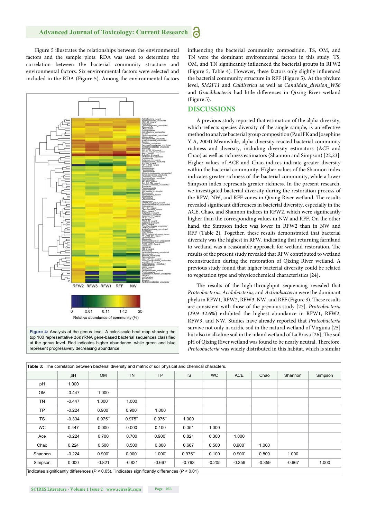Figure 5 illustrates the relationships between the environmental factors and the sample plots. RDA was used to determine the correlation between the bacterial community structure and environmental factors. Six environmental factors were selected and included in the RDA (Figure 5). Among the environmental factors



at the genus level. Red indicates higher abundance, while green and blue represent progressively decreasing abundance.

influencing the bacterial community composition, TS, OM, and TN were the dominant environmental factors in this study. TS, OM, and TN significantly influenced the bacterial groups in RFW2 (Figure 5, Table 4). However, these factors only slightly influenced the bacterial community structure in RFF (Figure 5). At the phylum level, *SM2F11* and *Caldiserica* as well as *Candidate\_division\_WS6*  and *Gracilibacteria* had little differences in Qixing River wetland (Figure 5).

#### **DISCUSSIONS**

A previous study reported that estimation of the alpha diversity, which reflects species diversity of the single sample, is an effective method to analyze bacterial group composition (Paul FK and Josephine Y A, 2004) Meanwhile, alpha diversity reacted bacterial community richness and diversity, including diversity estimators (ACE and Chao) as well as richness estimators (Shannon and Simpson) [22,23]. Higher values of ACE and Chao indices indicate greater diversity within the bacterial community. Higher values of the Shannon index indicates greater richness of the bacterial community, while a lower Simpson index represents greater richness. In the present research, we investigated bacterial diversity during the restoration process of the RFW, NW, and RFF zones in Qixing River wetland. The results revealed significant differences in bacterial diversity, especially in the ACE, Chao, and Shannon indices in RFW2, which were significantly higher than the corresponding values in NW and RFF. On the other hand, the Simpson index was lower in RFW2 than in NW and RFF (Table 2). Together, these results demonstrated that bacterial diversity was the highest in RFW, indicating that returning farmland to wetland was a reasonable approach for wetland restoration. The results of the present study revealed that RFW contributed to wetland reconstruction during the restoration of Qixing River wetland. A previous study found that higher bacterial diversity could be related to vegetation type and physicochemical characteristics [24]**.**

The results of the high-throughput sequencing revealed that *Proteobacteria, Acidobacteria,* and *Actinobacteria* were the dominant phyla in RFW1, RFW2, RFW3, NW, and RFF (Figure 3). These results are consistent with those of the previous study [27]. *Proteobacteria*  (29.9–32.6%) exhibited the highest abundance in RFW1, RFW2, RFW3, and NW. Studies have already reported that *Proteobacteria*  survive not only in acidic soil in the natural wetland of Virginia [25] but also in alkaline soil in the inland wetland of La Brava [26]. The soil pH of Qixing River wetland was found to be nearly neutral. Therefore, *Proteobacteria* was widely distributed in this habitat, which is similar

|           | pH       | <b>OM</b>       | <b>TN</b>       | <b>TP</b>         | <b>TS</b> | WC.      | ACE             | Chao     | Shannon  | Simpson |
|-----------|----------|-----------------|-----------------|-------------------|-----------|----------|-----------------|----------|----------|---------|
| pH        | 1.000    |                 |                 |                   |           |          |                 |          |          |         |
| <b>OM</b> | $-0.447$ | 1.000           |                 |                   |           |          |                 |          |          |         |
| TN        | $-0.447$ | 1.000"          | 1.000           |                   |           |          |                 |          |          |         |
| <b>TP</b> | $-0.224$ | $0.900^{\circ}$ | $0.900^{\circ}$ | 1.000             |           |          |                 |          |          |         |
| <b>TS</b> | $-0.334$ | 0.975"          | 0.975"          | 0.975"            | 1.000     |          |                 |          |          |         |
| <b>WC</b> | 0.447    | 0.000           | 0.000           | 0.100             | 0.051     | 1.000    |                 |          |          |         |
| Ace       | $-0.224$ | 0.700           | 0.700           | $0.900^{\degree}$ | 0.821     | 0.300    | 1.000           |          |          |         |
| Chao      | 0.224    | 0.500           | 0.500           | 0.800             | 0.667     | 0.500    | $0.900^{\circ}$ | 1.000    |          |         |
| Shannon   | $-0.224$ | $0.900^{\circ}$ | $0.900^{\circ}$ | $1.000^{\circ}$   | 0.975"    | 0.100    | $0.900^{\circ}$ | 0.800    | 1.000    |         |
| Simpson   | 0.000    | $-0.821$        | $-0.821$        | $-0.667$          | $-0.763$  | $-0.205$ | $-0.359$        | $-0.359$ | $-0.667$ | 1.000   |

**SCIRES Literature - Volume 1 Issue 2 - www.scireslit.com Page - 053**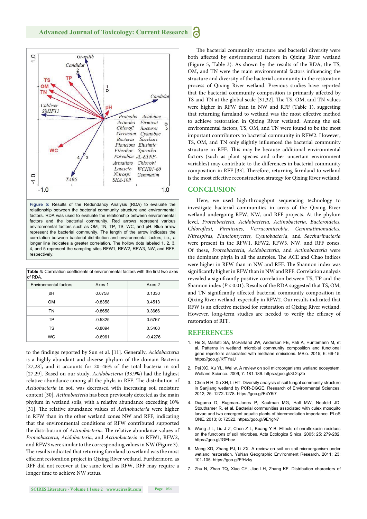

**Figure 5:** Results of the Redundancy Analysis (RDA) to evaluate the relationship between the bacterial community structure and environmental factors. RDA was used to evaluate the relationship between environmental factors and the bacterial community. Red arrows represent various environmental factors such as OM, TN, TP, TS, WC, and pH. Blue arrow represent the bacterial community. The length of the arrow indicates the correlation between bacterial distribution and environmental factors, i.e., a longer line indicates a greater correlation. The hollow dots labeled 1, 2, 3, 4, and 5 represent the sampling sites RFW1, RFW2, RFW3, NW, and RFF, respectively.

| <b>Table 4:</b> Correlation coefficients of environmental factors with the first two axes |  |
|-------------------------------------------------------------------------------------------|--|
| of RDA.                                                                                   |  |

| Axes 2 |  |  |
|--------|--|--|
|        |  |  |
|        |  |  |
|        |  |  |
|        |  |  |
|        |  |  |
|        |  |  |
|        |  |  |

to the findings reported by Sun et al. [11]. Generally, *Acidobacteria* is a highly abundant and diverse phylum of the domain Bacteria [27,28], and it accounts for 20–46% of the total bacteria in soil [27,29]. Based on our study, *Acidobacteria* (33.9%) had the highest relative abundance among all the phyla in RFF. The distribution of *Acidobacteria* in soil was decreased with increasing soil moisture content [30]. *Actinobacteria* has been previously detected as the main phylum in wetland soils, with a relative abundance exceeding 10% [31]. The relative abundance values of *Actinobacteria* were higher in RFW than in the other wetland zones NW and RFF, indicating that the environmental conditions of RFW contributed supported the distribution of *Actinobacteria*. The relative abundance values of *Proteobacteria, Acidobacteria,* and *Actinobacteria* in RFW1, RFW2, and RFW3 were similar to the corresponding values in NW (Figure 3). The results indicated that returning farmland to wetland was the most efficient restoration project in Qixing River wetland. Furthermore, as RFF did not recover at the same level as RFW, RFF may require a longer time to achieve NW status.

The bacterial community structure and bacterial diversity were both affected by environmental factors in Qixing River wetland (Figure 5, Table 3). As shown by the results of the RDA, the TS, OM, and TN were the main environmental factors influencing the structure and diversity of the bacterial community in the restoration process of Qixing River wetland. Previous studies have reported that the bacterial community composition is primarily affected by TS and TN at the global scale [31,32]. The TS, OM, and TN values were higher in RFW than in NW and RFF (Table 1), suggesting that returning farmland to wetland was the most effective method to achieve restoration in Qixing River wetland. Among the soil environmental factors, TS, OM, and TN were found to be the most important contributors to bacterial community in RFW2. However, TS, OM, and TN only slightly influenced the bacterial community structure in RFF. This may be because additional environmental factors (such as plant species and other uncertain environment variables) may contribute to the differences in bacterial community composition in RFF [33]. Therefore, returning farmland to wetland is the most effective reconstruction strategy for Qixing River wetland.

#### **CONCLUSION**

Here, we used high-throughput sequencing technology to investigate bacterial communities in areas of the Qixing River wetland undergoing RFW, NW, and RFF projects. At the phylum level, *Proteobacteria, Acidobacteria, Actinobacteria, Bacteroidetes, Chlorofl exi, Firmicutes, Verrucomicrobia, Gemmatimonadetes, Nitrospiras, Planctomycetes, Cyanobacteria,* and *Saccharibacteria*  were present in the RFW1, RFW2, RFW3, NW, and RFF zones. Of these, *Proteobacteria, Acidobacteria,* and *Actinobacteria* were the dominant phyla in all the samples. The ACE and Chao indices were higher in RFW than in NW and RFF. The Shannon index was significantly higher in RFW than in NW and RFF. Correlation analysis revealed a significantly positive correlation between TS, TP and the Shannon index (*P* < 0.01). Results of the RDA suggested that TS, OM, and TN significantly affected bacterial community composition in Qixing River wetland, especially in RFW2. Our results indicated that RFW is an effective method for restoration of Qixing River wetland. However, long-term studies are needed to verify the efficacy of restoration of RFF.

#### **REFERENCES**

- 1. He S, Malfatti SA, McFarland JW, Anderson FE, Pati A, Huntemann M, et al. Patterns in wetland microbial community composition and functional gene repertoire associated with methane emissions. MBio. 2015; 6: 66-15. https://goo.gl/KfTYaU
- 2. Pei XC, Xu YL, Wei w. A review on soil microorganisms wetland ecosystem. Wetland Science. 2009; 7: 181-186. https://goo.gl/3L2qZb
- 3. Chen H H, Xu XH, Li HT. Diversity analysis of soil fungal community structure in Sanjiang wetland by PCR-DGGE. Research of Environmental Sciences. 2012; 25: 1272-1278. https://goo.gl/E4Y6i7
- 4. Duguma D, Rugman-Jones P, Kaufman MG, Hall MW, Neufeld JD, Stouthamer R, et al. Bacterial communities associated with culex mosquito larvae and two emergent aquatic plants of bioremediation importance. PLoS ONE. 2013; 8: 72522. https://goo.gl/9E1gN7
- 5. Wang J L, Liu J Z, Chen Z L, Kuang Y B. Effects of enrofloxacin residues on the functions of soil microbes. Acta Ecologica Sinica. 2005; 25: 279-282. https://goo.gl/fGEbev
- 6. Meng XD, Zhang PJ, Li ZX. A review on soil on soil microorganism under wetland restoration. YuNan Geographic Environment Research. 2011; 23: 101-105. https://goo.gl/FfHzky
- 7. Zhu N, Zhao TQ, Xiao CY, Jiao LH, Zhang KF. Distribution characters of